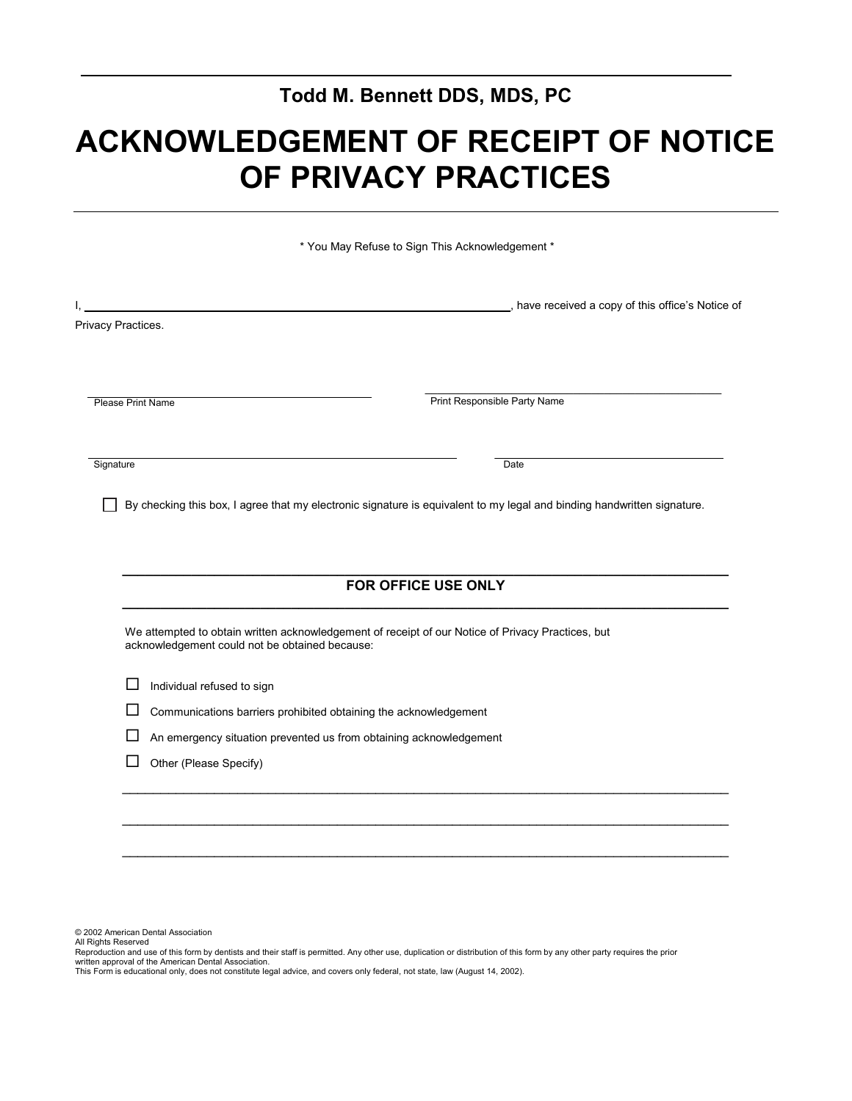# **Todd M. Bennett DDS, MDS, PC**

# **ACKNOWLEDGEMENT OF RECEIPT OF NOTICE OF PRIVACY PRACTICES**

|                          |                                                                    | * You May Refuse to Sign This Acknowledgement *                                                                                 |  |  |
|--------------------------|--------------------------------------------------------------------|---------------------------------------------------------------------------------------------------------------------------------|--|--|
|                          |                                                                    | , have received a copy of this office's Notice of                                                                               |  |  |
| Privacy Practices.       |                                                                    |                                                                                                                                 |  |  |
|                          |                                                                    |                                                                                                                                 |  |  |
| <b>Please Print Name</b> |                                                                    | Print Responsible Party Name                                                                                                    |  |  |
|                          |                                                                    |                                                                                                                                 |  |  |
|                          |                                                                    |                                                                                                                                 |  |  |
| Signature                |                                                                    | Date<br>By checking this box, I agree that my electronic signature is equivalent to my legal and binding handwritten signature. |  |  |
|                          |                                                                    | FOR OFFICE USE ONLY                                                                                                             |  |  |
|                          | acknowledgement could not be obtained because:                     | We attempted to obtain written acknowledgement of receipt of our Notice of Privacy Practices, but                               |  |  |
|                          | Individual refused to sign                                         |                                                                                                                                 |  |  |
| ப                        | Communications barriers prohibited obtaining the acknowledgement   |                                                                                                                                 |  |  |
|                          | An emergency situation prevented us from obtaining acknowledgement |                                                                                                                                 |  |  |

© 2002 American Dental Association

All Rights Reserved

Reproduction and use of this form by dentists and their staff is permitted. Any other use, duplication or distribution of this form by any other party requires the prior written approval of the American Dental Association.

\_\_\_\_\_\_\_\_\_\_\_\_\_\_\_\_\_\_\_\_\_\_\_\_\_\_\_\_\_\_\_\_\_\_\_\_\_\_\_\_\_\_\_\_\_\_\_\_\_\_\_\_\_\_\_\_\_\_\_\_\_\_\_\_\_\_\_\_\_\_\_\_\_\_\_\_\_\_\_

This Form is educational only, does not constitute legal advice, and covers only federal, not state, law (August 14, 2002).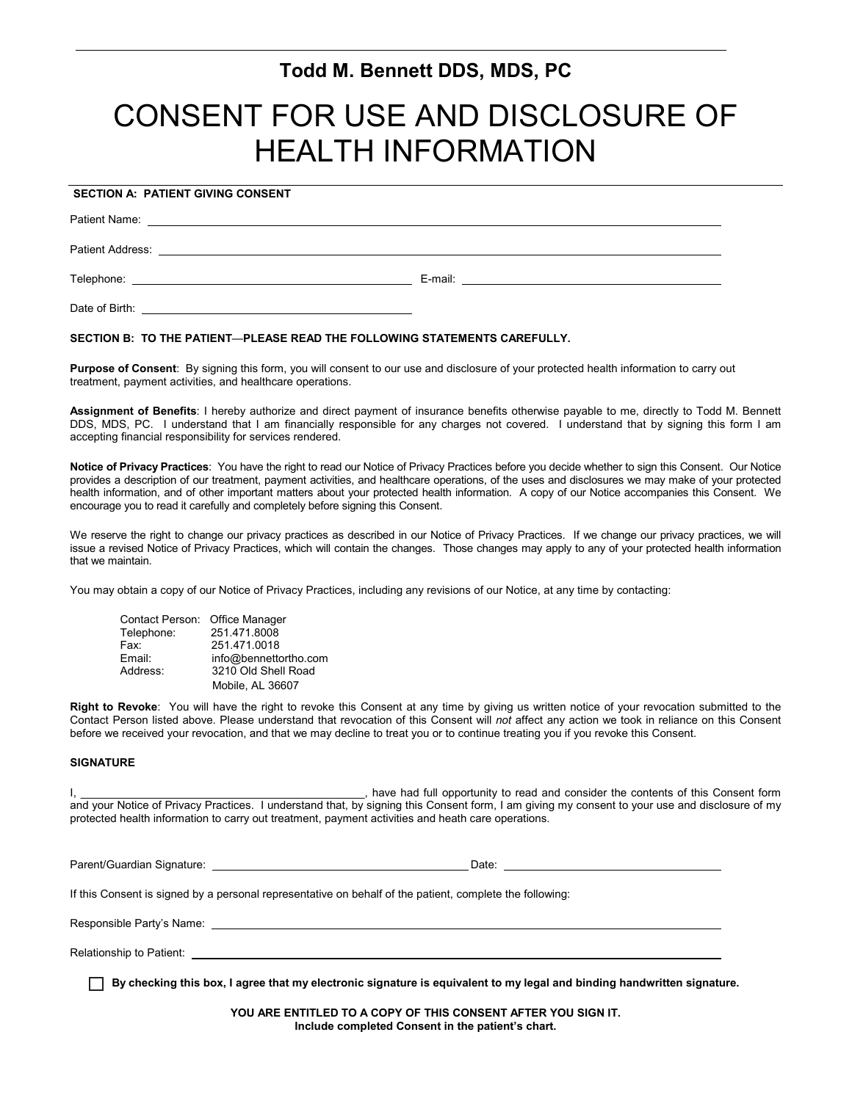# **Todd M. Bennett DDS, MDS, PC**

# CONSENT FOR USE AND DISCLOSURE OF HEALTH INFORMATION

# **SECTION A: PATIENT GIVING CONSENT**

Patient Name: \_

Patient Address:

Telephone: E-mail:

Date of Birth:

### **SECTION B: TO THE PATIENT**—**PLEASE READ THE FOLLOWING STATEMENTS CAREFULLY.**

Purpose of Consent: By signing this form, you will consent to our use and disclosure of your protected health information to carry out treatment, payment activities, and healthcare operations.

**Assignment of Benefits**: I hereby authorize and direct payment of insurance benefits otherwise payable to me, directly to Todd M. Bennett DDS, MDS, PC. I understand that I am financially responsible for any charges not covered. I understand that by signing this form I am accepting financial responsibility for services rendered.

**Notice of Privacy Practices**: You have the right to read our Notice of Privacy Practices before you decide whether to sign this Consent. Our Notice provides a description of our treatment, payment activities, and healthcare operations, of the uses and disclosures we may make of your protected health information, and of other important matters about your protected health information. A copy of our Notice accompanies this Consent. We encourage you to read it carefully and completely before signing this Consent.

We reserve the right to change our privacy practices as described in our Notice of Privacy Practices. If we change our privacy practices, we will issue a revised Notice of Privacy Practices, which will contain the changes. Those changes may apply to any of your protected health information that we maintain.

You may obtain a copy of our Notice of Privacy Practices, including any revisions of our Notice, at any time by contacting:

| Contact Person: Office Manager |                       |
|--------------------------------|-----------------------|
| Telephone:                     | 251.471.8008          |
| Fax:                           | 251.471.0018          |
| Email:                         | info@bennettortho.com |
| Address:                       | 3210 Old Shell Road   |
|                                | Mobile, AL 36607      |

**Right to Revoke**: You will have the right to revoke this Consent at any time by giving us written notice of your revocation submitted to the Contact Person listed above. Please understand that revocation of this Consent will *not* affect any action we took in reliance on this Consent before we received your revocation, and that we may decline to treat you or to continue treating you if you revoke this Consent.

### **SIGNATURE**

I, \_\_\_\_\_\_\_\_\_\_\_\_\_\_\_\_\_\_\_\_\_\_\_\_\_\_\_\_\_\_\_\_\_\_\_\_\_\_\_\_\_\_\_\_\_\_, have had full opportunity to read and consider the contents of this Consent form and your Notice of Privacy Practices. I understand that, by signing this Consent form, I am giving my consent to your use and disclosure of my protected health information to carry out treatment, payment activities and heath care operations.

Parent/Guardian Signature: Date:

If this Consent is signed by a personal representative on behalf of the patient, complete the following:

Responsible Party's Name:

Relationship to Patient:

**By checking this box, I agree that my electronic signature is equivalent to my legal and binding handwritten signature.**

**YOU ARE ENTITLED TO A COPY OF THIS CONSENT AFTER YOU SIGN IT. Include completed Consent in the patient's chart.**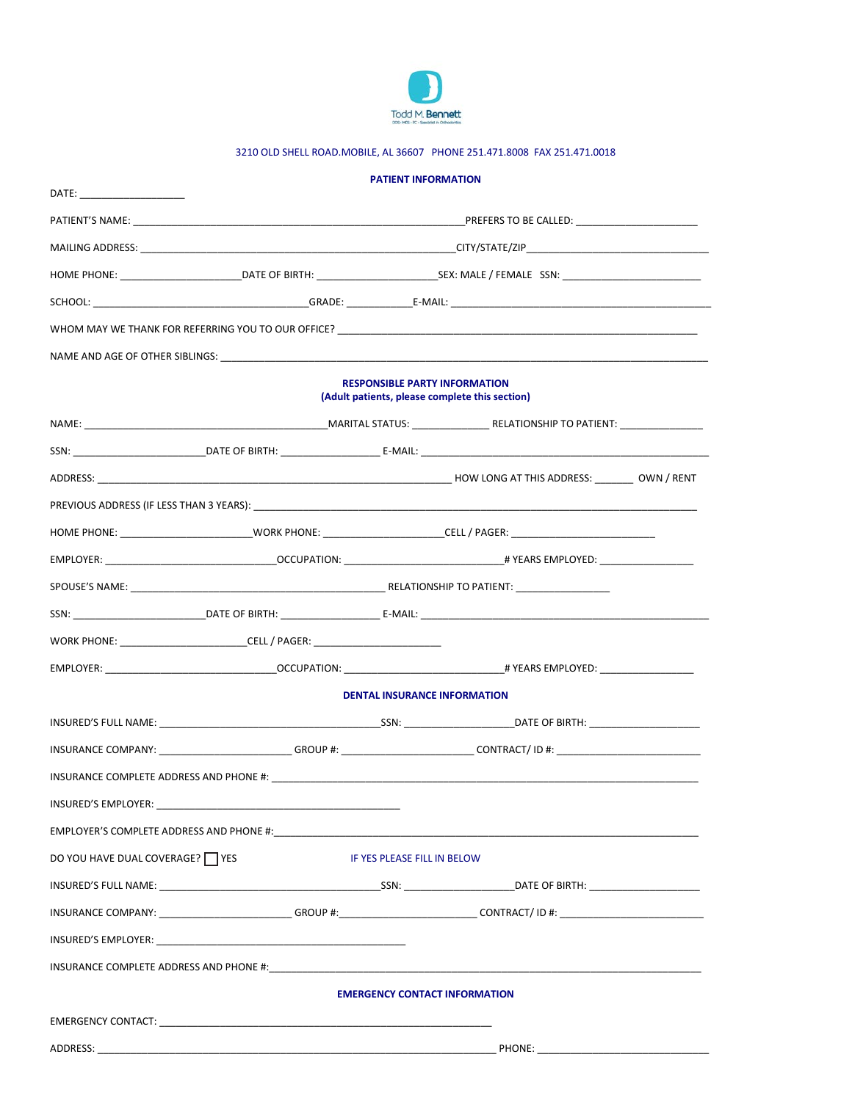

# 3210 OLD SHELL ROAD.MOBILE, AL 36607 PHONE 251.471.8008 FAX 251.471.0018

|                                 |                                                                                                                   | <b>PATIENT INFORMATION</b> |                                                                                                                |  |  |  |  |  |
|---------------------------------|-------------------------------------------------------------------------------------------------------------------|----------------------------|----------------------------------------------------------------------------------------------------------------|--|--|--|--|--|
| DATE: _______________________   |                                                                                                                   |                            |                                                                                                                |  |  |  |  |  |
|                                 |                                                                                                                   |                            |                                                                                                                |  |  |  |  |  |
|                                 |                                                                                                                   |                            |                                                                                                                |  |  |  |  |  |
|                                 |                                                                                                                   |                            |                                                                                                                |  |  |  |  |  |
|                                 |                                                                                                                   |                            |                                                                                                                |  |  |  |  |  |
|                                 |                                                                                                                   |                            |                                                                                                                |  |  |  |  |  |
|                                 |                                                                                                                   |                            | NAME AND AGE OF OTHER SIBLINGS: NAMEL AND THE STATE OF STATE OF STATE OF STATE OF STATE OF STATE OF STATE OF S |  |  |  |  |  |
|                                 | <b>RESPONSIBLE PARTY INFORMATION</b><br>(Adult patients, please complete this section)                            |                            |                                                                                                                |  |  |  |  |  |
|                                 |                                                                                                                   |                            |                                                                                                                |  |  |  |  |  |
|                                 |                                                                                                                   |                            |                                                                                                                |  |  |  |  |  |
|                                 |                                                                                                                   |                            |                                                                                                                |  |  |  |  |  |
|                                 |                                                                                                                   |                            |                                                                                                                |  |  |  |  |  |
|                                 |                                                                                                                   |                            |                                                                                                                |  |  |  |  |  |
|                                 |                                                                                                                   |                            |                                                                                                                |  |  |  |  |  |
|                                 |                                                                                                                   |                            |                                                                                                                |  |  |  |  |  |
|                                 |                                                                                                                   |                            |                                                                                                                |  |  |  |  |  |
|                                 | WORK PHONE: __________________________________CELL / PAGER: ____________________                                  |                            |                                                                                                                |  |  |  |  |  |
|                                 |                                                                                                                   |                            |                                                                                                                |  |  |  |  |  |
|                                 |                                                                                                                   |                            | <b>DENTAL INSURANCE INFORMATION</b>                                                                            |  |  |  |  |  |
|                                 |                                                                                                                   |                            |                                                                                                                |  |  |  |  |  |
|                                 |                                                                                                                   |                            |                                                                                                                |  |  |  |  |  |
|                                 |                                                                                                                   |                            |                                                                                                                |  |  |  |  |  |
|                                 |                                                                                                                   |                            |                                                                                                                |  |  |  |  |  |
|                                 |                                                                                                                   |                            |                                                                                                                |  |  |  |  |  |
| DO YOU HAVE DUAL COVERAGE? TYES | IF YES PLEASE FILL IN BELOW                                                                                       |                            |                                                                                                                |  |  |  |  |  |
|                                 |                                                                                                                   |                            |                                                                                                                |  |  |  |  |  |
|                                 |                                                                                                                   |                            |                                                                                                                |  |  |  |  |  |
|                                 |                                                                                                                   |                            |                                                                                                                |  |  |  |  |  |
|                                 | INSURANCE COMPLETE ADDRESS AND PHONE #: New York of the Second Second Second Second Second Second Second Second S |                            |                                                                                                                |  |  |  |  |  |
|                                 | <b>EMERGENCY CONTACT INFORMATION</b>                                                                              |                            |                                                                                                                |  |  |  |  |  |
|                                 |                                                                                                                   |                            |                                                                                                                |  |  |  |  |  |
|                                 |                                                                                                                   |                            |                                                                                                                |  |  |  |  |  |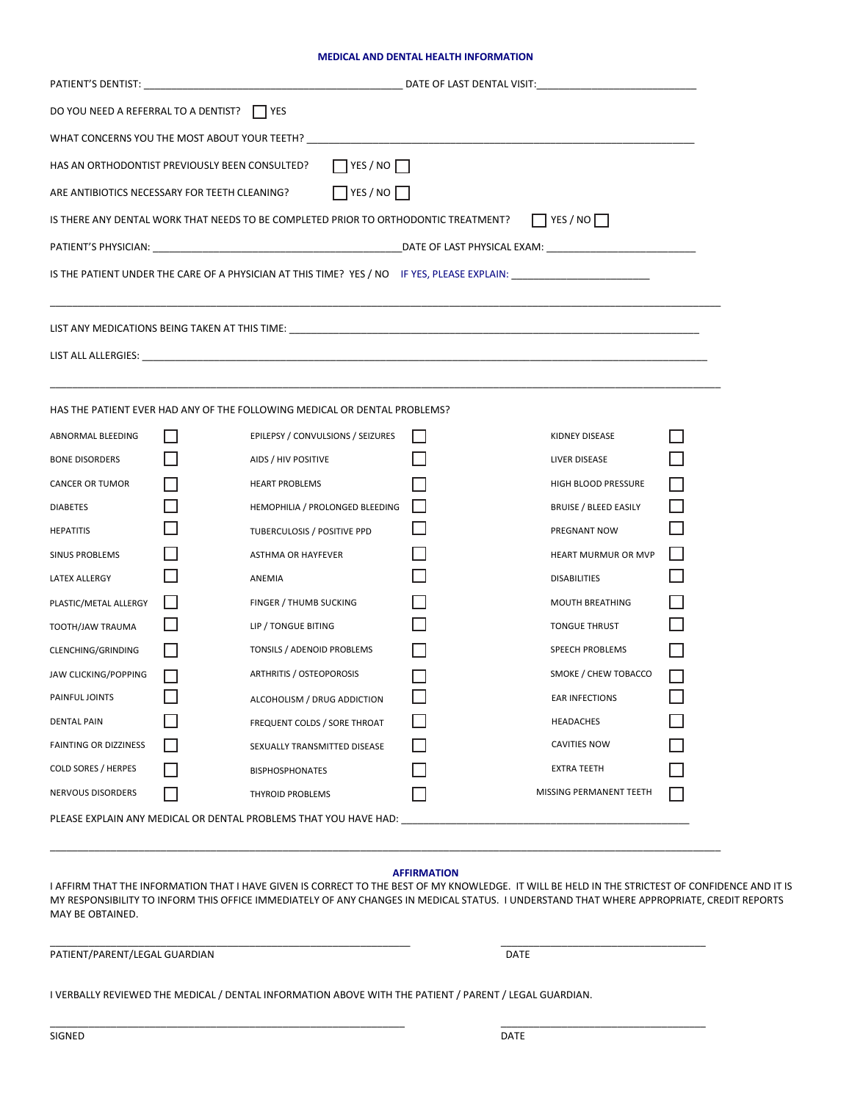#### **MEDICAL AND DENTAL HEALTH INFORMATION**

| DO YOU NEED A REFERRAL TO A DENTIST? ΠΥΕS                                                                     |              |                                                                                                                 |  |                              |  |  |  |  |  |  |
|---------------------------------------------------------------------------------------------------------------|--------------|-----------------------------------------------------------------------------------------------------------------|--|------------------------------|--|--|--|--|--|--|
| WHAT CONCERNS YOU THE MOST ABOUT YOUR TEETH? ___________________________________                              |              |                                                                                                                 |  |                              |  |  |  |  |  |  |
| $\Box$ YES / NO $\Box$<br>HAS AN ORTHODONTIST PREVIOUSLY BEEN CONSULTED?                                      |              |                                                                                                                 |  |                              |  |  |  |  |  |  |
| $\Box$ YES / NO $\Box$<br>ARE ANTIBIOTICS NECESSARY FOR TEETH CLEANING?                                       |              |                                                                                                                 |  |                              |  |  |  |  |  |  |
| $\Box$ YES / NO $\Box$<br>IS THERE ANY DENTAL WORK THAT NEEDS TO BE COMPLETED PRIOR TO ORTHODONTIC TREATMENT? |              |                                                                                                                 |  |                              |  |  |  |  |  |  |
|                                                                                                               |              |                                                                                                                 |  |                              |  |  |  |  |  |  |
|                                                                                                               |              |                                                                                                                 |  |                              |  |  |  |  |  |  |
|                                                                                                               |              |                                                                                                                 |  |                              |  |  |  |  |  |  |
|                                                                                                               |              | LIST ANY MEDICATIONS BEING TAKEN AT THIS TIME: UNIVERSITY OF A SERVICE OF A SERVICE OF A SERVICE OF A SERVICE O |  |                              |  |  |  |  |  |  |
|                                                                                                               |              |                                                                                                                 |  |                              |  |  |  |  |  |  |
|                                                                                                               |              |                                                                                                                 |  |                              |  |  |  |  |  |  |
|                                                                                                               |              | HAS THE PATIENT EVER HAD ANY OF THE FOLLOWING MEDICAL OR DENTAL PROBLEMS?                                       |  |                              |  |  |  |  |  |  |
| ABNORMAL BLEEDING                                                                                             |              | EPILEPSY / CONVULSIONS / SEIZURES                                                                               |  | KIDNEY DISEASE               |  |  |  |  |  |  |
| <b>BONE DISORDERS</b>                                                                                         |              | AIDS / HIV POSITIVE                                                                                             |  | LIVER DISEASE                |  |  |  |  |  |  |
| CANCER OR TUMOR                                                                                               |              | <b>HEART PROBLEMS</b>                                                                                           |  | HIGH BLOOD PRESSURE          |  |  |  |  |  |  |
| <b>DIABETES</b>                                                                                               |              | HEMOPHILIA / PROLONGED BLEEDING                                                                                 |  | <b>BRUISE / BLEED EASILY</b> |  |  |  |  |  |  |
| <b>HEPATITIS</b>                                                                                              |              | TUBERCULOSIS / POSITIVE PPD                                                                                     |  | PREGNANT NOW                 |  |  |  |  |  |  |
| SINUS PROBLEMS                                                                                                |              | ASTHMA OR HAYFEVER                                                                                              |  | HEART MURMUR OR MVP          |  |  |  |  |  |  |
| LATEX ALLERGY                                                                                                 |              | ANEMIA                                                                                                          |  | <b>DISABILITIES</b>          |  |  |  |  |  |  |
| PLASTIC/METAL ALLERGY                                                                                         |              | FINGER / THUMB SUCKING                                                                                          |  | MOUTH BREATHING              |  |  |  |  |  |  |
| TOOTH/JAW TRAUMA                                                                                              |              | LIP / TONGUE BITING                                                                                             |  | <b>TONGUE THRUST</b>         |  |  |  |  |  |  |
| CLENCHING/GRINDING                                                                                            |              | TONSILS / ADENOID PROBLEMS                                                                                      |  | SPEECH PROBLEMS              |  |  |  |  |  |  |
| JAW CLICKING/POPPING                                                                                          |              | ARTHRITIS / OSTEOPOROSIS                                                                                        |  | SMOKE / CHEW TOBACCO         |  |  |  |  |  |  |
| PAINFUL JOINTS                                                                                                | $\mathsf{L}$ | ALCOHOLISM / DRUG ADDICTION                                                                                     |  | <b>EAR INFECTIONS</b>        |  |  |  |  |  |  |
| <b>DENTAL PAIN</b>                                                                                            |              | FREQUENT COLDS / SORE THROAT                                                                                    |  | <b>HEADACHES</b>             |  |  |  |  |  |  |
| <b>FAINTING OR DIZZINESS</b>                                                                                  |              | SEXUALLY TRANSMITTED DISEASE                                                                                    |  | CAVITIES NOW                 |  |  |  |  |  |  |
| <b>COLD SORES / HERPES</b>                                                                                    |              | <b>BISPHOSPHONATES</b>                                                                                          |  | <b>EXTRA TEETH</b>           |  |  |  |  |  |  |
| NERVOUS DISORDERS                                                                                             |              | <b>THYROID PROBLEMS</b>                                                                                         |  | MISSING PERMANENT TEETH      |  |  |  |  |  |  |
| PLEASE EXPLAIN ANY MEDICAL OR DENTAL PROBLEMS THAT YOU HAVE HAD:                                              |              |                                                                                                                 |  |                              |  |  |  |  |  |  |

#### **AFFIRMATION**

\_\_\_\_\_\_\_\_\_\_\_\_\_\_\_\_\_\_\_\_\_\_\_\_\_\_\_\_\_\_\_\_\_\_\_\_\_\_\_\_\_\_\_\_\_\_\_\_\_\_\_\_\_\_\_\_\_\_\_\_\_\_\_\_\_\_\_\_\_\_\_\_\_\_\_\_\_\_\_\_\_\_\_\_\_\_\_\_\_\_\_\_\_\_\_\_\_\_\_\_\_\_\_\_\_\_\_\_\_\_\_\_\_\_\_\_\_\_\_\_\_

\_\_\_\_\_\_\_\_\_\_\_\_\_\_\_\_\_\_\_\_\_\_\_\_\_\_\_\_\_\_\_\_\_\_\_\_\_\_\_\_\_\_\_\_\_\_\_\_\_\_\_\_\_\_\_\_\_\_\_\_\_\_\_\_ \_\_\_\_\_\_\_\_\_\_\_\_\_\_\_\_\_\_\_\_\_\_\_\_\_\_\_\_\_\_\_\_\_\_\_\_\_

I AFFIRM THAT THE INFORMATION THAT I HAVE GIVEN IS CORRECT TO THE BEST OF MY KNOWLEDGE. IT WILL BE HELD IN THE STRICTEST OF CONFIDENCE AND IT IS MY RESPONSIBILITY TO INFORM THIS OFFICE IMMEDIATELY OF ANY CHANGES IN MEDICAL STATUS. I UNDERSTAND THAT WHERE APPROPRIATE, CREDIT REPORTS MAY BE OBTAINED.

PATIENT/PARENT/LEGAL GUARDIAN DATE

\_\_\_\_\_\_\_\_\_\_\_\_\_\_\_\_\_\_\_\_\_\_\_\_\_\_\_\_\_\_\_\_\_\_\_\_\_\_\_\_\_\_\_\_\_\_\_\_\_\_\_\_\_\_\_\_\_\_\_\_\_\_\_\_\_ \_\_\_\_\_\_\_\_\_\_\_\_\_\_\_\_\_\_\_\_\_\_\_\_\_\_\_\_\_\_\_\_\_\_\_\_\_

I VERBALLY REVIEWED THE MEDICAL / DENTAL INFORMATION ABOVE WITH THE PATIENT / PARENT / LEGAL GUARDIAN.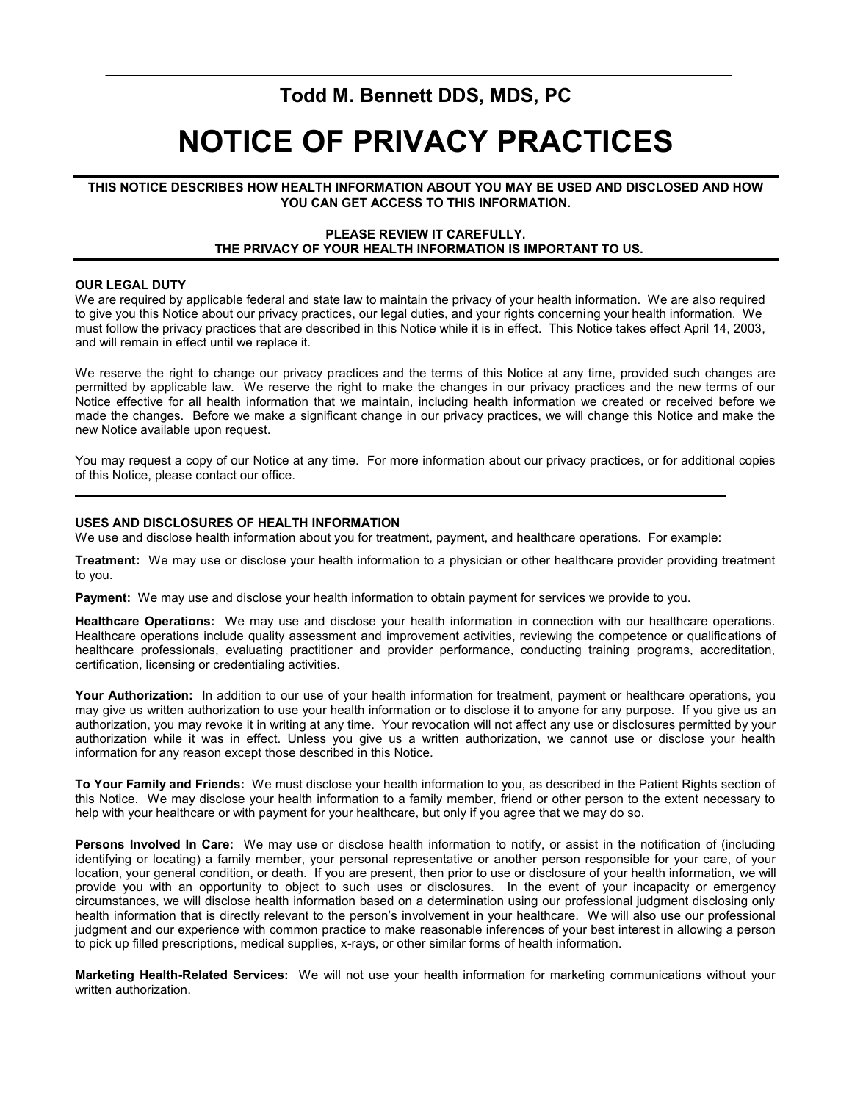# **Todd M. Bennett DDS, MDS, PC**

# **NOTICE OF PRIVACY PRACTICES**

# **THIS NOTICE DESCRIBES HOW HEALTH INFORMATION ABOUT YOU MAY BE USED AND DISCLOSED AND HOW YOU CAN GET ACCESS TO THIS INFORMATION.**

## **PLEASE REVIEW IT CAREFULLY. THE PRIVACY OF YOUR HEALTH INFORMATION IS IMPORTANT TO US.**

## **OUR LEGAL DUTY**

We are required by applicable federal and state law to maintain the privacy of your health information. We are also required to give you this Notice about our privacy practices, our legal duties, and your rights concerning your health information. We must follow the privacy practices that are described in this Notice while it is in effect. This Notice takes effect April 14, 2003, and will remain in effect until we replace it.

We reserve the right to change our privacy practices and the terms of this Notice at any time, provided such changes are permitted by applicable law. We reserve the right to make the changes in our privacy practices and the new terms of our Notice effective for all health information that we maintain, including health information we created or received before we made the changes. Before we make a significant change in our privacy practices, we will change this Notice and make the new Notice available upon request.

You may request a copy of our Notice at any time. For more information about our privacy practices, or for additional copies of this Notice, please contact our office.

## **USES AND DISCLOSURES OF HEALTH INFORMATION**

We use and disclose health information about you for treatment, payment, and healthcare operations. For example:

**Treatment:** We may use or disclose your health information to a physician or other healthcare provider providing treatment to you.

**Payment:** We may use and disclose your health information to obtain payment for services we provide to you.

**Healthcare Operations:** We may use and disclose your health information in connection with our healthcare operations. Healthcare operations include quality assessment and improvement activities, reviewing the competence or qualifications of healthcare professionals, evaluating practitioner and provider performance, conducting training programs, accreditation, certification, licensing or credentialing activities.

**Your Authorization:** In addition to our use of your health information for treatment, payment or healthcare operations, you may give us written authorization to use your health information or to disclose it to anyone for any purpose. If you give us an authorization, you may revoke it in writing at any time. Your revocation will not affect any use or disclosures permitted by your authorization while it was in effect. Unless you give us a written authorization, we cannot use or disclose your health information for any reason except those described in this Notice.

**To Your Family and Friends:** We must disclose your health information to you, as described in the Patient Rights section of this Notice. We may disclose your health information to a family member, friend or other person to the extent necessary to help with your healthcare or with payment for your healthcare, but only if you agree that we may do so.

**Persons Involved In Care:** We may use or disclose health information to notify, or assist in the notification of (including identifying or locating) a family member, your personal representative or another person responsible for your care, of your location, your general condition, or death. If you are present, then prior to use or disclosure of your health information, we will provide you with an opportunity to object to such uses or disclosures. In the event of your incapacity or emergency circumstances, we will disclose health information based on a determination using our professional judgment disclosing only health information that is directly relevant to the person's involvement in your healthcare. We will also use our professional judgment and our experience with common practice to make reasonable inferences of your best interest in allowing a person to pick up filled prescriptions, medical supplies, x-rays, or other similar forms of health information.

**Marketing Health-Related Services:** We will not use your health information for marketing communications without your written authorization.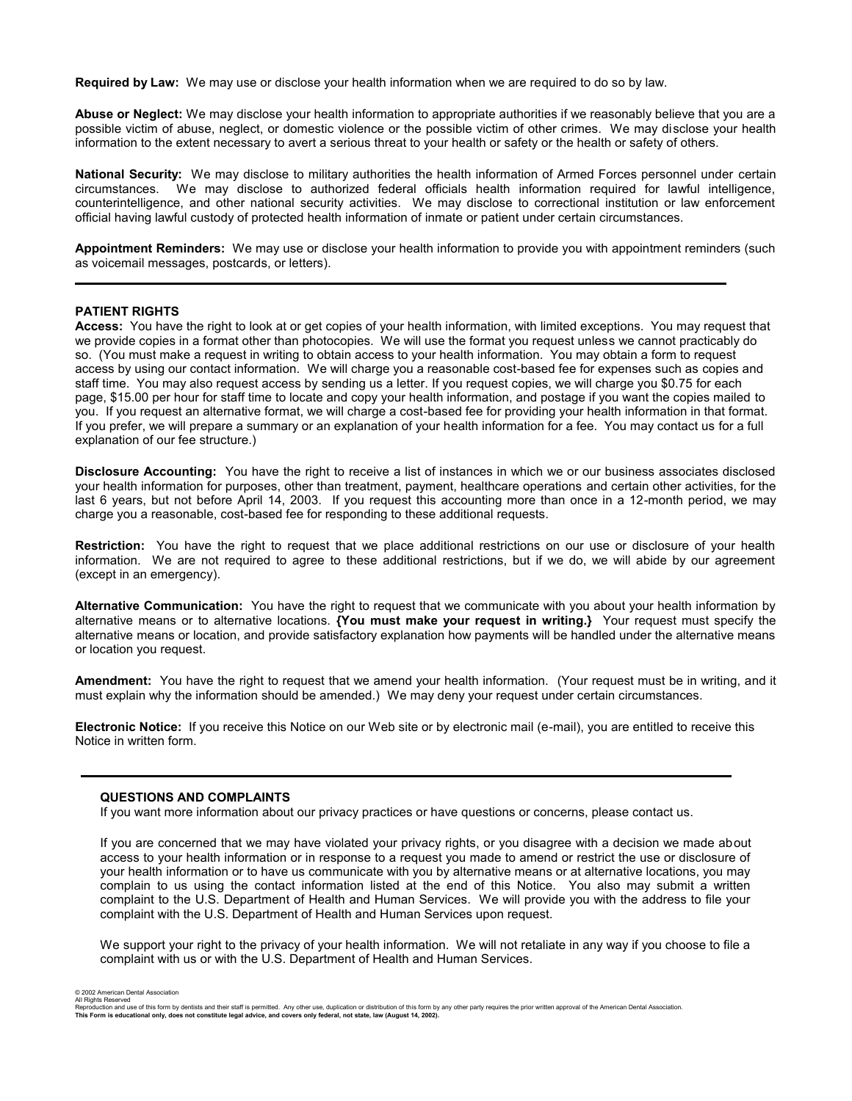**Required by Law:** We may use or disclose your health information when we are required to do so by law.

**Abuse or Neglect:** We may disclose your health information to appropriate authorities if we reasonably believe that you are a possible victim of abuse, neglect, or domestic violence or the possible victim of other crimes. We may disclose your health information to the extent necessary to avert a serious threat to your health or safety or the health or safety of others.

**National Security:** We may disclose to military authorities the health information of Armed Forces personnel under certain circumstances. We may disclose to authorized federal officials health information required for lawful intelligence, counterintelligence, and other national security activities. We may disclose to correctional institution or law enforcement official having lawful custody of protected health information of inmate or patient under certain circumstances.

**Appointment Reminders:** We may use or disclose your health information to provide you with appointment reminders (such as voicemail messages, postcards, or letters).

#### **PATIENT RIGHTS**

**Access:** You have the right to look at or get copies of your health information, with limited exceptions. You may request that we provide copies in a format other than photocopies. We will use the format you request unless we cannot practicably do so. (You must make a request in writing to obtain access to your health information. You may obtain a form to request access by using our contact information. We will charge you a reasonable cost-based fee for expenses such as copies and staff time. You may also request access by sending us a letter. If you request copies, we will charge you \$0.75 for each page, \$15.00 per hour for staff time to locate and copy your health information, and postage if you want the copies mailed to you. If you request an alternative format, we will charge a cost-based fee for providing your health information in that format. If you prefer, we will prepare a summary or an explanation of your health information for a fee. You may contact us for a full explanation of our fee structure.)

**Disclosure Accounting:** You have the right to receive a list of instances in which we or our business associates disclosed your health information for purposes, other than treatment, payment, healthcare operations and certain other activities, for the last 6 years, but not before April 14, 2003.If you request this accounting more than once in a 12-month period, we may charge you a reasonable, cost-based fee for responding to these additional requests.

**Restriction:** You have the right to request that we place additional restrictions on our use or disclosure of your health information. We are not required to agree to these additional restrictions, but if we do, we will abide by our agreement (except in an emergency).

**Alternative Communication:** You have the right to request that we communicate with you about your health information by alternative means or to alternative locations. **{You must make your request in writing.}** Your request must specify the alternative means or location, and provide satisfactory explanation how payments will be handled under the alternative means or location you request.

**Amendment:** You have the right to request that we amend your health information. (Your request must be in writing, and it must explain why the information should be amended.) We may deny your request under certain circumstances.

**Electronic Notice:** If you receive this Notice on our Web site or by electronic mail (e-mail), you are entitled to receive this Notice in written form.

### **QUESTIONS AND COMPLAINTS**

If you want more information about our privacy practices or have questions or concerns, please contact us.

If you are concerned that we may have violated your privacy rights, or you disagree with a decision we made about access to your health information or in response to a request you made to amend or restrict the use or disclosure of your health information or to have us communicate with you by alternative means or at alternative locations, you may complain to us using the contact information listed at the end of this Notice. You also may submit a written complaint to the U.S. Department of Health and Human Services. We will provide you with the address to file your complaint with the U.S. Department of Health and Human Services upon request.

We support your right to the privacy of your health information. We will not retaliate in any way if you choose to file a complaint with us or with the U.S. Department of Health and Human Services.

© 2002 American Dental Association All Rights Reserved

Reproduction and use of this form by dentists and their staff is permitted. Any other use, duplication or distribution of this form by any other party requires the prior written approval of the American Dental Association. **This Form is educational only, does not constitute legal advice, and covers only federal, not state, law (August 14, 2002).**